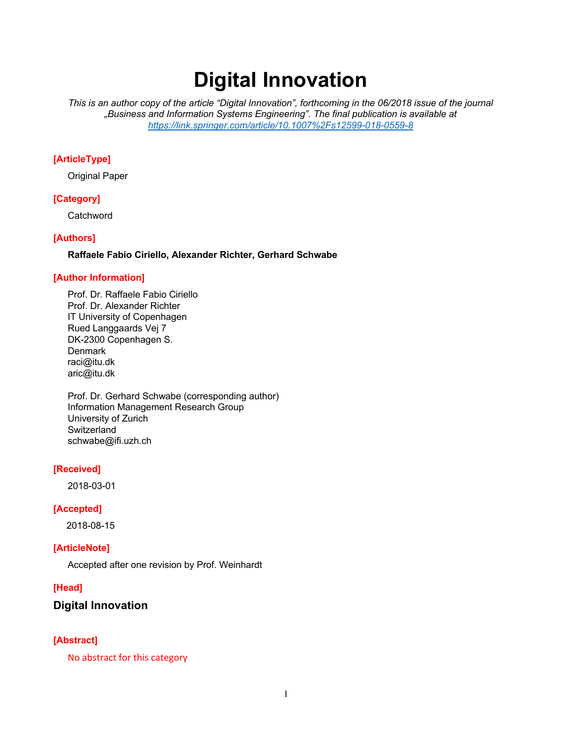# **Digital Innovation**

*This is an author copy of the article "Digital Innovation", forthcoming in the 06/2018 issue of the journal "Business and Information Systems Engineering". The final publication is available at https://link.springer.com/article/10.1007%2Fs12599-018-0559-8*

### **[ArticleType]**

Original Paper

### **[Category]**

**Catchword** 

### **[Authors]**

**Raffaele Fabio Ciriello, Alexander Richter, Gerhard Schwabe** 

### **[Author Information]**

Prof. Dr. Raffaele Fabio Ciriello Prof. Dr. Alexander Richter IT University of Copenhagen Rued Langgaards Vej 7 DK-2300 Copenhagen S. Denmark raci@itu.dk aric@itu.dk

Prof. Dr. Gerhard Schwabe (corresponding author) Information Management Research Group University of Zurich **Switzerland** schwabe@ifi.uzh.ch

### **[Received]**

2018-03-01

### **[Accepted]**

2018-08-15

### **[ArticleNote]**

Accepted after one revision by Prof. Weinhardt

### **[Head]**

### **Digital Innovation**

### **[Abstract]**

No abstract for this category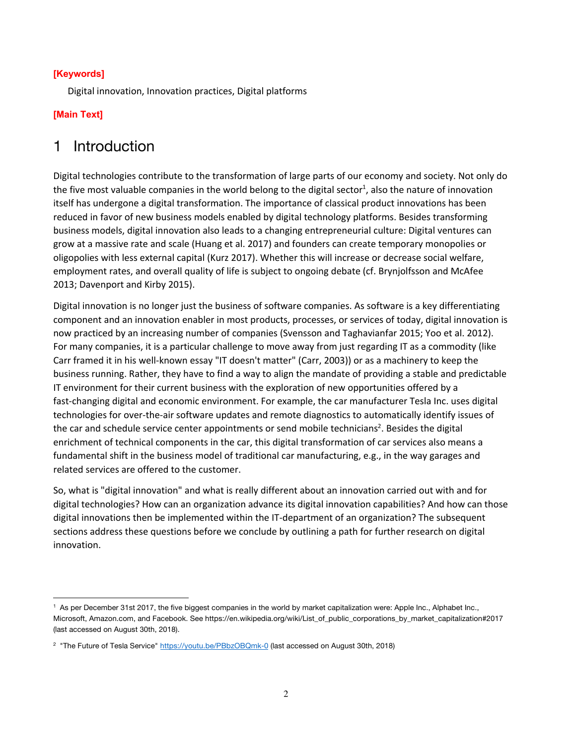### **[Keywords]**

Digital innovation, Innovation practices, Digital platforms

### **[Main Text]**

l

### 1 Introduction

Digital technologies contribute to the transformation of large parts of our economy and society. Not only do the five most valuable companies in the world belong to the digital sector<sup>1</sup>, also the nature of innovation itself has undergone a digital transformation. The importance of classical product innovations has been reduced in favor of new business models enabled by digital technology platforms. Besides transforming business models, digital innovation also leads to a changing entrepreneurial culture: Digital ventures can grow at a massive rate and scale (Huang et al. 2017) and founders can create temporary monopolies or oligopolies with less external capital (Kurz 2017). Whether this will increase or decrease social welfare, employment rates, and overall quality of life is subject to ongoing debate (cf. Brynjolfsson and McAfee 2013; Davenport and Kirby 2015).

Digital innovation is no longer just the business of software companies. As software is a key differentiating component and an innovation enabler in most products, processes, or services of today, digital innovation is now practiced by an increasing number of companies (Svensson and Taghavianfar 2015; Yoo et al. 2012). For many companies, it is a particular challenge to move away from just regarding IT as a commodity (like Carr framed it in his well-known essay "IT doesn't matter" (Carr, 2003)) or as a machinery to keep the business running. Rather, they have to find a way to align the mandate of providing a stable and predictable IT environment for their current business with the exploration of new opportunities offered by a fast-changing digital and economic environment. For example, the car manufacturer Tesla Inc. uses digital technologies for over-the-air software updates and remote diagnostics to automatically identify issues of the car and schedule service center appointments or send mobile technicians<sup>2</sup>. Besides the digital enrichment of technical components in the car, this digital transformation of car services also means a fundamental shift in the business model of traditional car manufacturing, e.g., in the way garages and related services are offered to the customer.

So, what is "digital innovation" and what is really different about an innovation carried out with and for digital technologies? How can an organization advance its digital innovation capabilities? And how can those digital innovations then be implemented within the IT-department of an organization? The subsequent sections address these questions before we conclude by outlining a path for further research on digital innovation.

<sup>1</sup> As per December 31st 2017, the five biggest companies in the world by market capitalization were: Apple Inc., Alphabet Inc., Microsoft, Amazon.com, and Facebook. See https://en.wikipedia.org/wiki/List\_of\_public\_corporations\_by\_market\_capitalization#2017 (last accessed on August 30th, 2018).

<sup>&</sup>lt;sup>2</sup> "The Future of Tesla Service" https://youtu.be/PBbzOBQmk-0 (last accessed on August 30th, 2018)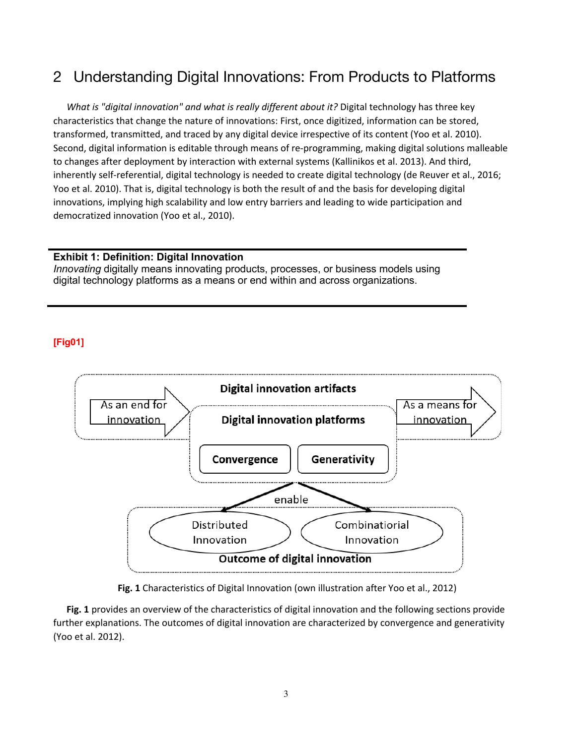### 2 Understanding Digital Innovations: From Products to Platforms

What is "digital innovation" and what is really different about it? Digital technology has three key characteristics that change the nature of innovations: First, once digitized, information can be stored, transformed, transmitted, and traced by any digital device irrespective of its content (Yoo et al. 2010). Second, digital information is editable through means of re-programming, making digital solutions malleable to changes after deployment by interaction with external systems (Kallinikos et al. 2013). And third, inherently self-referential, digital technology is needed to create digital technology (de Reuver et al., 2016; Yoo et al. 2010). That is, digital technology is both the result of and the basis for developing digital innovations, implying high scalability and low entry barriers and leading to wide participation and democratized innovation (Yoo et al., 2010).

### **Exhibit 1: Definition: Digital Innovation**

*Innovating* digitally means innovating products, processes, or business models using digital technology platforms as a means or end within and across organizations.

### **[Fig01]**



**Fig. 1** Characteristics of Digital Innovation (own illustration after Yoo et al., 2012)

**Fig. 1** provides an overview of the characteristics of digital innovation and the following sections provide further explanations. The outcomes of digital innovation are characterized by convergence and generativity (Yoo et al. 2012).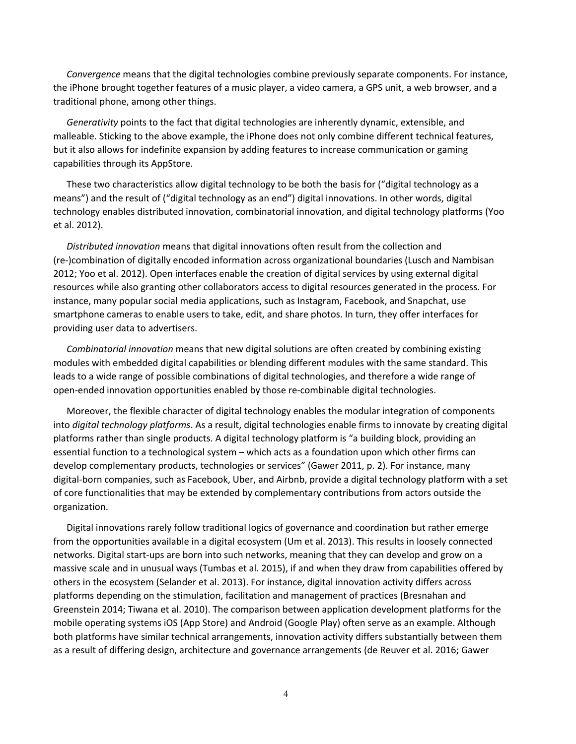*Convergence* means that the digital technologies combine previously separate components. For instance, the iPhone brought together features of a music player, a video camera, a GPS unit, a web browser, and a traditional phone, among other things.

*Generativity* points to the fact that digital technologies are inherently dynamic, extensible, and malleable. Sticking to the above example, the iPhone does not only combine different technical features, but it also allows for indefinite expansion by adding features to increase communication or gaming capabilities through its AppStore.

These two characteristics allow digital technology to be both the basis for ("digital technology as a means") and the result of ("digital technology as an end") digital innovations. In other words, digital technology enables distributed innovation, combinatorial innovation, and digital technology platforms (Yoo et al. 2012).

*Distributed innovation* means that digital innovations often result from the collection and (re-)combination of digitally encoded information across organizational boundaries (Lusch and Nambisan 2012; Yoo et al. 2012). Open interfaces enable the creation of digital services by using external digital resources while also granting other collaborators access to digital resources generated in the process. For instance, many popular social media applications, such as Instagram, Facebook, and Snapchat, use smartphone cameras to enable users to take, edit, and share photos. In turn, they offer interfaces for providing user data to advertisers.

*Combinatorial innovation* means that new digital solutions are often created by combining existing modules with embedded digital capabilities or blending different modules with the same standard. This leads to a wide range of possible combinations of digital technologies, and therefore a wide range of open-ended innovation opportunities enabled by those re-combinable digital technologies.

Moreover, the flexible character of digital technology enables the modular integration of components into *digital technology platforms*. As a result, digital technologies enable firms to innovate by creating digital platforms rather than single products. A digital technology platform is "a building block, providing an essential function to a technological system – which acts as a foundation upon which other firms can develop complementary products, technologies or services" (Gawer 2011, p. 2). For instance, many digital-born companies, such as Facebook, Uber, and Airbnb, provide a digital technology platform with a set of core functionalities that may be extended by complementary contributions from actors outside the organization.

Digital innovations rarely follow traditional logics of governance and coordination but rather emerge from the opportunities available in a digital ecosystem (Um et al. 2013). This results in loosely connected networks. Digital start-ups are born into such networks, meaning that they can develop and grow on a massive scale and in unusual ways (Tumbas et al. 2015), if and when they draw from capabilities offered by others in the ecosystem (Selander et al. 2013). For instance, digital innovation activity differs across platforms depending on the stimulation, facilitation and management of practices (Bresnahan and Greenstein 2014; Tiwana et al. 2010). The comparison between application development platforms for the mobile operating systems iOS (App Store) and Android (Google Play) often serve as an example. Although both platforms have similar technical arrangements, innovation activity differs substantially between them as a result of differing design, architecture and governance arrangements (de Reuver et al. 2016; Gawer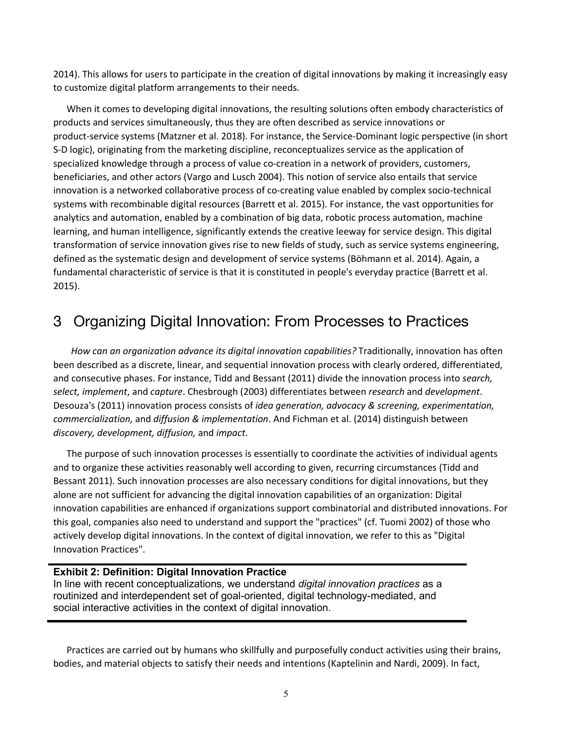2014). This allows for users to participate in the creation of digital innovations by making it increasingly easy to customize digital platform arrangements to their needs.

When it comes to developing digital innovations, the resulting solutions often embody characteristics of products and services simultaneously, thus they are often described as service innovations or product-service systems (Matzner et al. 2018). For instance, the Service-Dominant logic perspective (in short S-D logic), originating from the marketing discipline, reconceptualizes service as the application of specialized knowledge through a process of value co-creation in a network of providers, customers, beneficiaries, and other actors (Vargo and Lusch 2004). This notion of service also entails that service innovation is a networked collaborative process of co-creating value enabled by complex socio-technical systems with recombinable digital resources (Barrett et al. 2015). For instance, the vast opportunities for analytics and automation, enabled by a combination of big data, robotic process automation, machine learning, and human intelligence, significantly extends the creative leeway for service design. This digital transformation of service innovation gives rise to new fields of study, such as service systems engineering, defined as the systematic design and development of service systems (Böhmann et al. 2014). Again, a fundamental characteristic of service is that it is constituted in people's everyday practice (Barrett et al. 2015).

### 3 Organizing Digital Innovation: From Processes to Practices

*How can an organization advance its digital innovation capabilities?* Traditionally, innovation has often been described as a discrete, linear, and sequential innovation process with clearly ordered, differentiated, and consecutive phases. For instance, Tidd and Bessant (2011) divide the innovation process into *search, select, implement*, and *capture*. Chesbrough (2003) differentiates between *research* and *development*. Desouza's (2011) innovation process consists of *idea generation, advocacy & screening, experimentation, commercialization,* and *diffusion & implementation*. And Fichman et al. (2014) distinguish between *discovery, development, diffusion,* and *impact*.

The purpose of such innovation processes is essentially to coordinate the activities of individual agents and to organize these activities reasonably well according to given, recurring circumstances (Tidd and Bessant 2011). Such innovation processes are also necessary conditions for digital innovations, but they alone are not sufficient for advancing the digital innovation capabilities of an organization: Digital innovation capabilities are enhanced if organizations support combinatorial and distributed innovations. For this goal, companies also need to understand and support the "practices" (cf. Tuomi 2002) of those who actively develop digital innovations. In the context of digital innovation, we refer to this as "Digital Innovation Practices".

### **Exhibit 2: Definition: Digital Innovation Practice**

In line with recent conceptualizations, we understand *digital innovation practices* as a routinized and interdependent set of goal-oriented, digital technology-mediated, and social interactive activities in the context of digital innovation.

Practices are carried out by humans who skillfully and purposefully conduct activities using their brains, bodies, and material objects to satisfy their needs and intentions (Kaptelinin and Nardi, 2009). In fact,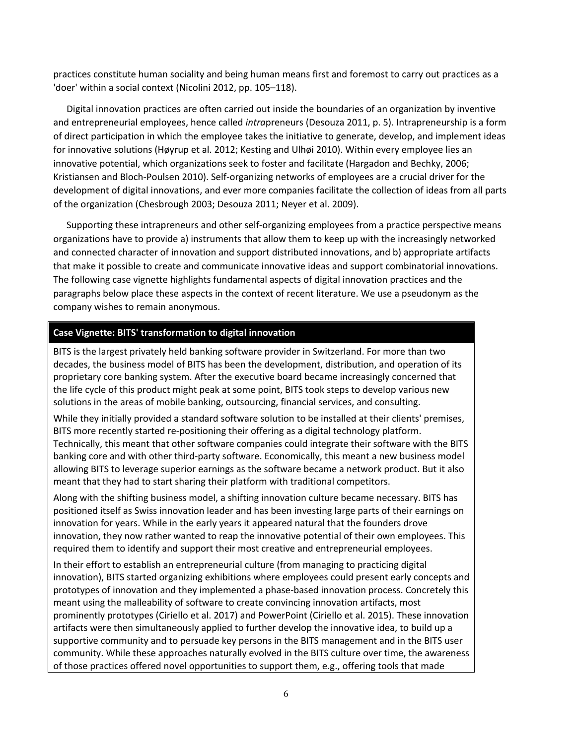practices constitute human sociality and being human means first and foremost to carry out practices as a 'doer' within a social context (Nicolini 2012, pp. 105–118).

Digital innovation practices are often carried out inside the boundaries of an organization by inventive and entrepreneurial employees, hence called *intra*preneurs (Desouza 2011, p. 5). Intrapreneurship is a form of direct participation in which the employee takes the initiative to generate, develop, and implement ideas for innovative solutions (Høyrup et al. 2012; Kesting and Ulhøi 2010). Within every employee lies an innovative potential, which organizations seek to foster and facilitate (Hargadon and Bechky, 2006; Kristiansen and Bloch-Poulsen 2010). Self-organizing networks of employees are a crucial driver for the development of digital innovations, and ever more companies facilitate the collection of ideas from all parts of the organization (Chesbrough 2003; Desouza 2011; Neyer et al. 2009).

Supporting these intrapreneurs and other self-organizing employees from a practice perspective means organizations have to provide a) instruments that allow them to keep up with the increasingly networked and connected character of innovation and support distributed innovations, and b) appropriate artifacts that make it possible to create and communicate innovative ideas and support combinatorial innovations. The following case vignette highlights fundamental aspects of digital innovation practices and the paragraphs below place these aspects in the context of recent literature. We use a pseudonym as the company wishes to remain anonymous.

#### **Case Vignette: BITS' transformation to digital innovation**

BITS is the largest privately held banking software provider in Switzerland. For more than two decades, the business model of BITS has been the development, distribution, and operation of its proprietary core banking system. After the executive board became increasingly concerned that the life cycle of this product might peak at some point, BITS took steps to develop various new solutions in the areas of mobile banking, outsourcing, financial services, and consulting.

While they initially provided a standard software solution to be installed at their clients' premises, BITS more recently started re-positioning their offering as a digital technology platform. Technically, this meant that other software companies could integrate their software with the BITS banking core and with other third-party software. Economically, this meant a new business model allowing BITS to leverage superior earnings as the software became a network product. But it also meant that they had to start sharing their platform with traditional competitors.

Along with the shifting business model, a shifting innovation culture became necessary. BITS has positioned itself as Swiss innovation leader and has been investing large parts of their earnings on innovation for years. While in the early years it appeared natural that the founders drove innovation, they now rather wanted to reap the innovative potential of their own employees. This required them to identify and support their most creative and entrepreneurial employees.

In their effort to establish an entrepreneurial culture (from managing to practicing digital innovation), BITS started organizing exhibitions where employees could present early concepts and prototypes of innovation and they implemented a phase-based innovation process. Concretely this meant using the malleability of software to create convincing innovation artifacts, most prominently prototypes (Ciriello et al. 2017) and PowerPoint (Ciriello et al. 2015). These innovation artifacts were then simultaneously applied to further develop the innovative idea, to build up a supportive community and to persuade key persons in the BITS management and in the BITS user community. While these approaches naturally evolved in the BITS culture over time, the awareness of those practices offered novel opportunities to support them, e.g., offering tools that made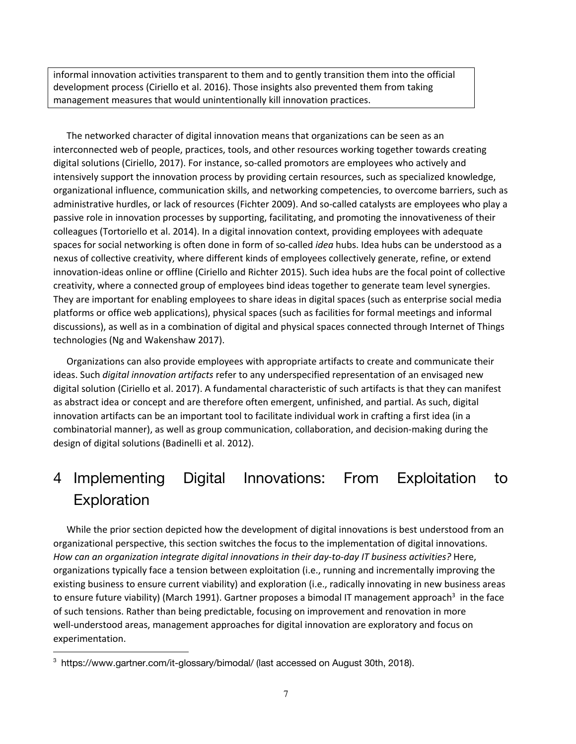informal innovation activities transparent to them and to gently transition them into the official development process (Ciriello et al. 2016). Those insights also prevented them from taking management measures that would unintentionally kill innovation practices.

The networked character of digital innovation means that organizations can be seen as an interconnected web of people, practices, tools, and other resources working together towards creating digital solutions (Ciriello, 2017). For instance, so-called promotors are employees who actively and intensively support the innovation process by providing certain resources, such as specialized knowledge, organizational influence, communication skills, and networking competencies, to overcome barriers, such as administrative hurdles, or lack of resources (Fichter 2009). And so-called catalysts are employees who play a passive role in innovation processes by supporting, facilitating, and promoting the innovativeness of their colleagues (Tortoriello et al. 2014). In a digital innovation context, providing employees with adequate spaces for social networking is often done in form of so-called *idea* hubs. Idea hubs can be understood as a nexus of collective creativity, where different kinds of employees collectively generate, refine, or extend innovation-ideas online or offline (Ciriello and Richter 2015). Such idea hubs are the focal point of collective creativity, where a connected group of employees bind ideas together to generate team level synergies. They are important for enabling employees to share ideas in digital spaces (such as enterprise social media platforms or office web applications), physical spaces (such as facilities for formal meetings and informal discussions), as well as in a combination of digital and physical spaces connected through Internet of Things technologies (Ng and Wakenshaw 2017).

Organizations can also provide employees with appropriate artifacts to create and communicate their ideas. Such *digital innovation artifacts* refer to any underspecified representation of an envisaged new digital solution (Ciriello et al. 2017). A fundamental characteristic of such artifacts is that they can manifest as abstract idea or concept and are therefore often emergent, unfinished, and partial. As such, digital innovation artifacts can be an important tool to facilitate individual work in crafting a first idea (in a combinatorial manner), as well as group communication, collaboration, and decision-making during the design of digital solutions (Badinelli et al. 2012).

## 4 Implementing Digital Innovations: From Exploitation to Exploration

While the prior section depicted how the development of digital innovations is best understood from an organizational perspective, this section switches the focus to the implementation of digital innovations. *How can an organization integrate digital innovations in their day-to-day IT business activities?* Here, organizations typically face a tension between exploitation (i.e., running and incrementally improving the existing business to ensure current viability) and exploration (i.e., radically innovating in new business areas to ensure future viability) (March 1991). Gartner proposes a bimodal IT management approach<sup>3</sup> in the face of such tensions. Rather than being predictable, focusing on improvement and renovation in more well-understood areas, management approaches for digital innovation are exploratory and focus on experimentation.

l

<sup>3</sup> https://www.gartner.com/it-glossary/bimodal/ (last accessed on August 30th, 2018).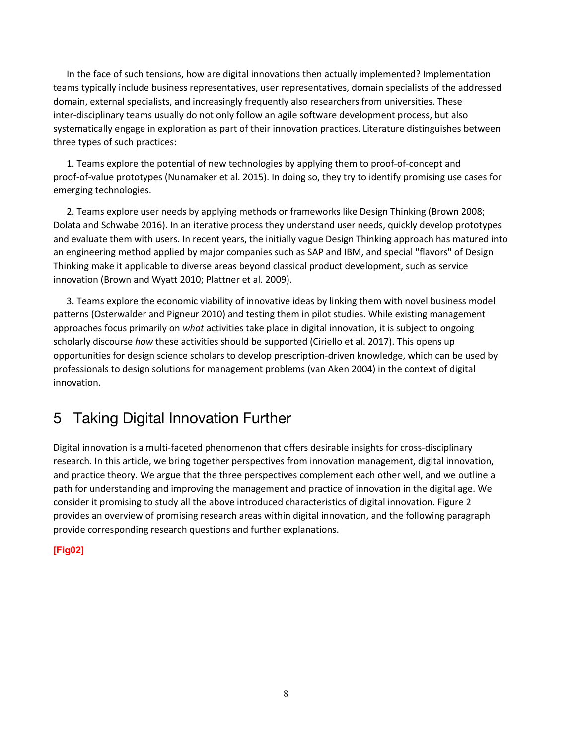In the face of such tensions, how are digital innovations then actually implemented? Implementation teams typically include business representatives, user representatives, domain specialists of the addressed domain, external specialists, and increasingly frequently also researchers from universities. These inter-disciplinary teams usually do not only follow an agile software development process, but also systematically engage in exploration as part of their innovation practices. Literature distinguishes between three types of such practices:

1. Teams explore the potential of new technologies by applying them to proof-of-concept and proof-of-value prototypes (Nunamaker et al. 2015). In doing so, they try to identify promising use cases for emerging technologies.

2. Teams explore user needs by applying methods or frameworks like Design Thinking (Brown 2008; Dolata and Schwabe 2016). In an iterative process they understand user needs, quickly develop prototypes and evaluate them with users. In recent years, the initially vague Design Thinking approach has matured into an engineering method applied by major companies such as SAP and IBM, and special "flavors" of Design Thinking make it applicable to diverse areas beyond classical product development, such as service innovation (Brown and Wyatt 2010; Plattner et al. 2009).

3. Teams explore the economic viability of innovative ideas by linking them with novel business model patterns (Osterwalder and Pigneur 2010) and testing them in pilot studies. While existing management approaches focus primarily on *what* activities take place in digital innovation, it is subject to ongoing scholarly discourse *how* these activities should be supported (Ciriello et al. 2017). This opens up opportunities for design science scholars to develop prescription-driven knowledge, which can be used by professionals to design solutions for management problems (van Aken 2004) in the context of digital innovation.

### 5 Taking Digital Innovation Further

Digital innovation is a multi-faceted phenomenon that offers desirable insights for cross-disciplinary research. In this article, we bring together perspectives from innovation management, digital innovation, and practice theory. We argue that the three perspectives complement each other well, and we outline a path for understanding and improving the management and practice of innovation in the digital age. We consider it promising to study all the above introduced characteristics of digital innovation. Figure 2 provides an overview of promising research areas within digital innovation, and the following paragraph provide corresponding research questions and further explanations.

### **[Fig02]**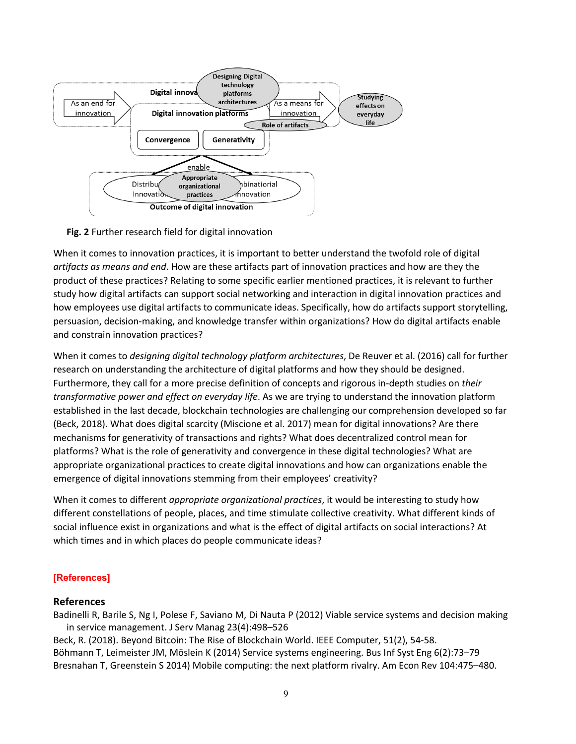

#### **Fig. 2** Further research field for digital innovation

When it comes to innovation practices, it is important to better understand the twofold role of digital *artifacts as means and end*. How are these artifacts part of innovation practices and how are they the product of these practices? Relating to some specific earlier mentioned practices, it is relevant to further study how digital artifacts can support social networking and interaction in digital innovation practices and how employees use digital artifacts to communicate ideas. Specifically, how do artifacts support storytelling, persuasion, decision-making, and knowledge transfer within organizations? How do digital artifacts enable and constrain innovation practices?

When it comes to *designing digital technology platform architectures*, De Reuver et al. (2016) call for further research on understanding the architecture of digital platforms and how they should be designed. Furthermore, they call for a more precise definition of concepts and rigorous in-depth studies on *their transformative power and effect on everyday life*. As we are trying to understand the innovation platform established in the last decade, blockchain technologies are challenging our comprehension developed so far (Beck, 2018). What does digital scarcity (Miscione et al. 2017) mean for digital innovations? Are there mechanisms for generativity of transactions and rights? What does decentralized control mean for platforms? What is the role of generativity and convergence in these digital technologies? What are appropriate organizational practices to create digital innovations and how can organizations enable the emergence of digital innovations stemming from their employees' creativity?

When it comes to different *appropriate organizational practices*, it would be interesting to study how different constellations of people, places, and time stimulate collective creativity. What different kinds of social influence exist in organizations and what is the effect of digital artifacts on social interactions? At which times and in which places do people communicate ideas?

### **[References]**

#### **References**

Badinelli R, Barile S, Ng I, Polese F, Saviano M, Di Nauta P (2012) Viable service systems and decision making in service management. J Serv Manag 23(4):498–526 Beck, R. (2018). Beyond Bitcoin: The Rise of Blockchain World. IEEE Computer, 51(2), 54-58.

Böhmann T, Leimeister JM, Möslein K (2014) Service systems engineering. Bus Inf Syst Eng 6(2):73–79 Bresnahan T, Greenstein S 2014) Mobile computing: the next platform rivalry. Am Econ Rev 104:475–480.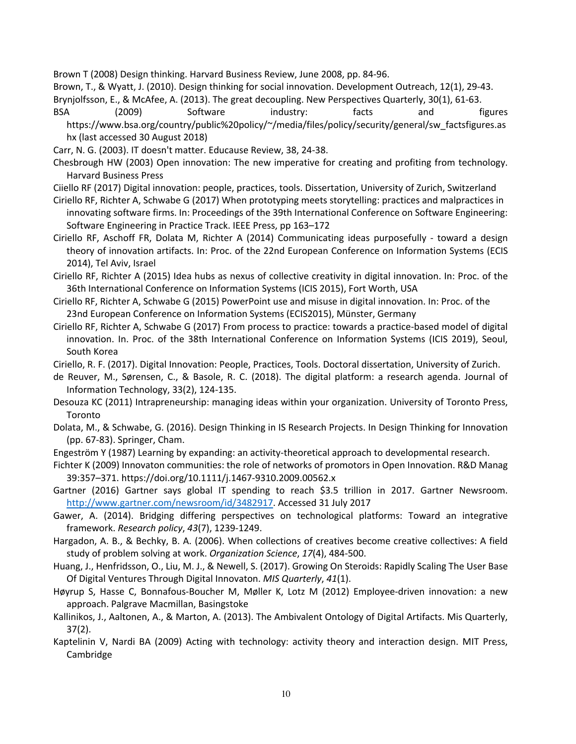Brown T (2008) Design thinking. Harvard Business Review, June 2008, pp. 84-96.

Brown, T., & Wyatt, J. (2010). Design thinking for social innovation. Development Outreach, 12(1), 29-43.

Brynjolfsson, E., & McAfee, A. (2013). The great decoupling. New Perspectives Quarterly, 30(1), 61-63.

BSA (2009) Software industry: facts and figures https://www.bsa.org/country/public%20policy/~/media/files/policy/security/general/sw\_factsfigures.as hx (last accessed 30 August 2018)

Carr, N. G. (2003). IT doesn't matter. Educause Review, 38, 24-38.

- Chesbrough HW (2003) Open innovation: The new imperative for creating and profiting from technology. Harvard Business Press
- Ciiello RF (2017) Digital innovation: people, practices, tools. Dissertation, University of Zurich, Switzerland
- Ciriello RF, Richter A, Schwabe G (2017) When prototyping meets storytelling: practices and malpractices in innovating software firms. In: Proceedings of the 39th International Conference on Software Engineering: Software Engineering in Practice Track. IEEE Press, pp 163–172
- Ciriello RF, Aschoff FR, Dolata M, Richter A (2014) Communicating ideas purposefully toward a design theory of innovation artifacts. In: Proc. of the 22nd European Conference on Information Systems (ECIS 2014), Tel Aviv, Israel
- Ciriello RF, Richter A (2015) Idea hubs as nexus of collective creativity in digital innovation. In: Proc. of the 36th International Conference on Information Systems (ICIS 2015), Fort Worth, USA
- Ciriello RF, Richter A, Schwabe G (2015) PowerPoint use and misuse in digital innovation. In: Proc. of the 23nd European Conference on Information Systems (ECIS2015), Münster, Germany
- Ciriello RF, Richter A, Schwabe G (2017) From process to practice: towards a practice-based model of digital innovation. In. Proc. of the 38th International Conference on Information Systems (ICIS 2019), Seoul, South Korea
- Ciriello, R. F. (2017). Digital Innovation: People, Practices, Tools. Doctoral dissertation, University of Zurich.
- de Reuver, M., Sørensen, C., & Basole, R. C. (2018). The digital platform: a research agenda. Journal of Information Technology, 33(2), 124-135.
- Desouza KC (2011) Intrapreneurship: managing ideas within your organization. University of Toronto Press, Toronto
- Dolata, M., & Schwabe, G. (2016). Design Thinking in IS Research Projects. In Design Thinking for Innovation (pp. 67-83). Springer, Cham.
- Engeström Y (1987) Learning by expanding: an activity-theoretical approach to developmental research.
- Fichter K (2009) Innovaton communities: the role of networks of promotors in Open Innovation. R&D Manag 39:357–371. https://doi.org/10.1111/j.1467-9310.2009.00562.x
- Gartner (2016) Gartner says global IT spending to reach \$3.5 trillion in 2017. Gartner Newsroom. http://www.gartner.com/newsroom/id/3482917. Accessed 31 July 2017
- Gawer, A. (2014). Bridging differing perspectives on technological platforms: Toward an integrative framework. *Research policy*, *43*(7), 1239-1249.
- Hargadon, A. B., & Bechky, B. A. (2006). When collections of creatives become creative collectives: A field study of problem solving at work. *Organization Science*, *17*(4), 484-500.
- Huang, J., Henfridsson, O., Liu, M. J., & Newell, S. (2017). Growing On Steroids: Rapidly Scaling The User Base Of Digital Ventures Through Digital Innovaton. *MIS Quarterly*, *41*(1).
- Høyrup S, Hasse C, Bonnafous-Boucher M, Møller K, Lotz M (2012) Employee-driven innovation: a new approach. Palgrave Macmillan, Basingstoke
- Kallinikos, J., Aaltonen, A., & Marton, A. (2013). The Ambivalent Ontology of Digital Artifacts. Mis Quarterly, 37(2).
- Kaptelinin V, Nardi BA (2009) Acting with technology: activity theory and interaction design. MIT Press, Cambridge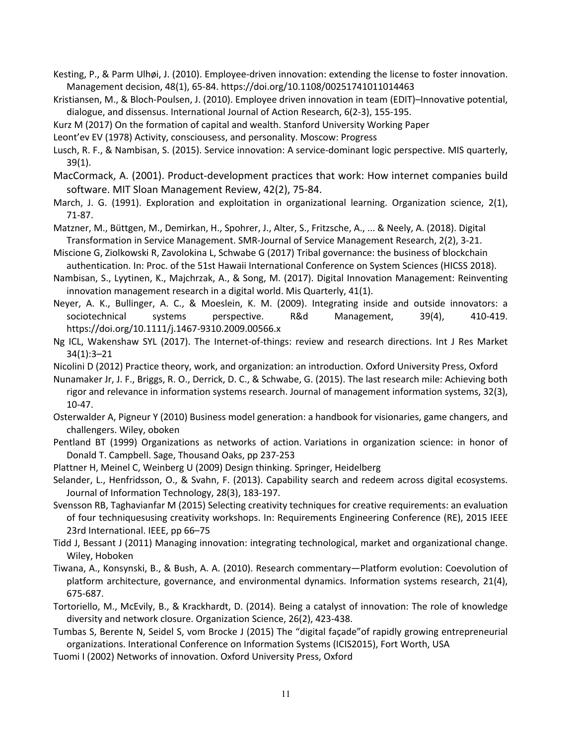Kesting, P., & Parm Ulhøi, J. (2010). Employee-driven innovation: extending the license to foster innovation. Management decision, 48(1), 65-84. https://doi.org/10.1108/00251741011014463

- Kristiansen, M., & Bloch-Poulsen, J. (2010). Employee driven innovation in team (EDIT)–Innovative potential, dialogue, and dissensus. International Journal of Action Research, 6(2-3), 155-195.
- Kurz M (2017) On the formation of capital and wealth. Stanford University Working Paper
- Leont'ev EV (1978) Activity, consciousess, and personality. Moscow: Progress
- Lusch, R. F., & Nambisan, S. (2015). Service innovation: A service-dominant logic perspective. MIS quarterly, 39(1).
- MacCormack, A. (2001). Product-development practices that work: How internet companies build software. MIT Sloan Management Review, 42(2), 75-84.
- March, J. G. (1991). Exploration and exploitation in organizational learning. Organization science, 2(1), 71-87.
- Matzner, M., Büttgen, M., Demirkan, H., Spohrer, J., Alter, S., Fritzsche, A., ... & Neely, A. (2018). Digital Transformation in Service Management. SMR-Journal of Service Management Research, 2(2), 3-21.
- Miscione G, Ziolkowski R, Zavolokina L, Schwabe G (2017) Tribal governance: the business of blockchain authentication. In: Proc. of the 51st Hawaii International Conference on System Sciences (HICSS 2018).
- Nambisan, S., Lyytinen, K., Majchrzak, A., & Song, M. (2017). Digital Innovation Management: Reinventing innovation management research in a digital world. Mis Quarterly, 41(1).
- Neyer, A. K., Bullinger, A. C., & Moeslein, K. M. (2009). Integrating inside and outside innovators: a sociotechnical systems perspective. R&d Management, 39(4), 410-419. https://doi.org/10.1111/j.1467-9310.2009.00566.x
- Ng ICL, Wakenshaw SYL (2017). The Internet-of-things: review and research directions. Int J Res Market 34(1):3–21
- Nicolini D (2012) Practice theory, work, and organization: an introduction. Oxford University Press, Oxford
- Nunamaker Jr, J. F., Briggs, R. O., Derrick, D. C., & Schwabe, G. (2015). The last research mile: Achieving both rigor and relevance in information systems research. Journal of management information systems, 32(3), 10-47.
- Osterwalder A, Pigneur Y (2010) Business model generation: a handbook for visionaries, game changers, and challengers. Wiley, oboken
- Pentland BT (1999) Organizations as networks of action. Variations in organization science: in honor of Donald T. Campbell. Sage, Thousand Oaks, pp 237-253
- Plattner H, Meinel C, Weinberg U (2009) Design thinking. Springer, Heidelberg
- Selander, L., Henfridsson, O., & Svahn, F. (2013). Capability search and redeem across digital ecosystems. Journal of Information Technology, 28(3), 183-197.
- Svensson RB, Taghavianfar M (2015) Selecting creativity techniques for creative requirements: an evaluation of four techniquesusing creativity workshops. In: Requirements Engineering Conference (RE), 2015 IEEE 23rd International. IEEE, pp 66–75
- Tidd J, Bessant J (2011) Managing innovation: integrating technological, market and organizational change. Wiley, Hoboken
- Tiwana, A., Konsynski, B., & Bush, A. A. (2010). Research commentary—Platform evolution: Coevolution of platform architecture, governance, and environmental dynamics. Information systems research, 21(4), 675-687.
- Tortoriello, M., McEvily, B., & Krackhardt, D. (2014). Being a catalyst of innovation: The role of knowledge diversity and network closure. Organization Science, 26(2), 423-438.
- Tumbas S, Berente N, Seidel S, vom Brocke J (2015) The "digital façade"of rapidly growing entrepreneurial organizations. Interational Conference on Information Systems (ICIS2015), Fort Worth, USA
- Tuomi I (2002) Networks of innovation. Oxford University Press, Oxford